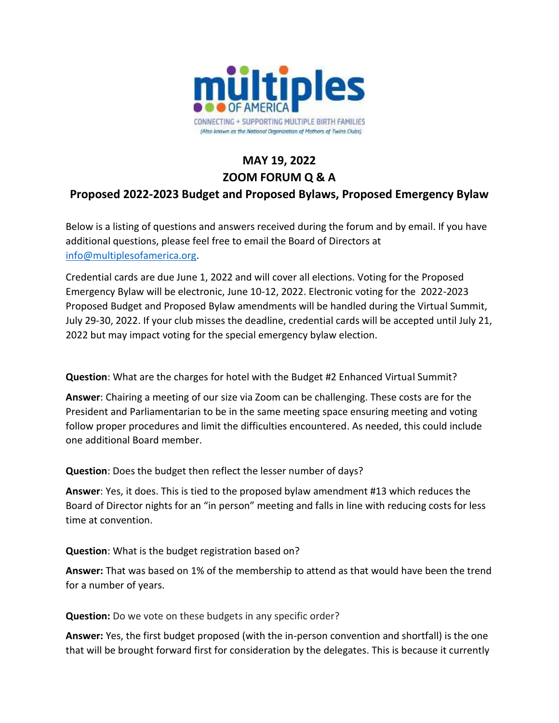

## **MAY 19, 2022 ZOOM FORUM Q & A Proposed 2022-2023 Budget and Proposed Bylaws, Proposed Emergency Bylaw**

Below is a listing of questions and answers received during the forum and by email. If you have additional questions, please feel free to email the Board of Directors at [info@multiplesofamerica.org.](mailto:info@multiplesofamerica.org)

Credential cards are due June 1, 2022 and will cover all elections. Voting for the Proposed Emergency Bylaw will be electronic, June 10-12, 2022. Electronic voting for the 2022-2023 Proposed Budget and Proposed Bylaw amendments will be handled during the Virtual Summit, July 29-30, 2022. If your club misses the deadline, credential cards will be accepted until July 21, 2022 but may impact voting for the special emergency bylaw election.

**Question**: What are the charges for hotel with the Budget #2 Enhanced Virtual Summit?

**Answer**: Chairing a meeting of our size via Zoom can be challenging. These costs are for the President and Parliamentarian to be in the same meeting space ensuring meeting and voting follow proper procedures and limit the difficulties encountered. As needed, this could include one additional Board member.

**Question**: Does the budget then reflect the lesser number of days?

**Answer**: Yes, it does. This is tied to the proposed bylaw amendment #13 which reduces the Board of Director nights for an "in person" meeting and falls in line with reducing costs for less time at convention.

**Question**: What is the budget registration based on?

**Answer:** That was based on 1% of the membership to attend as that would have been the trend for a number of years.

**Question:** Do we vote on these budgets in any specific order?

**Answer:** Yes, the first budget proposed (with the in-person convention and shortfall) is the one that will be brought forward first for consideration by the delegates. This is because it currently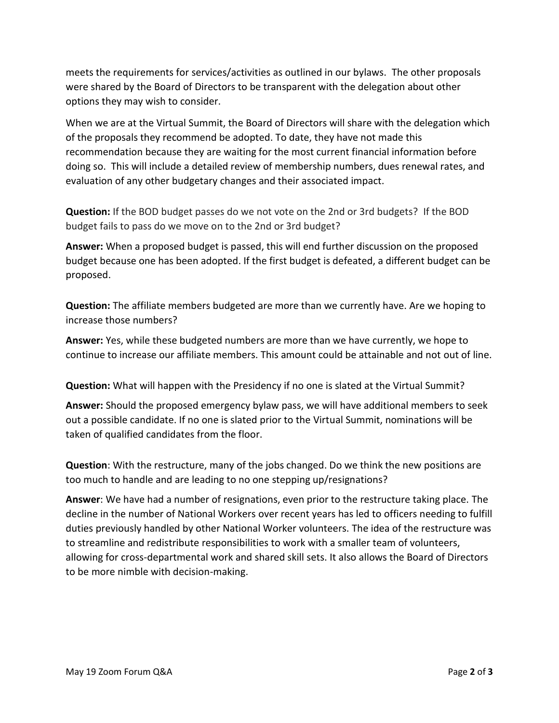meets the requirements for services/activities as outlined in our bylaws. The other proposals were shared by the Board of Directors to be transparent with the delegation about other options they may wish to consider.

When we are at the Virtual Summit, the Board of Directors will share with the delegation which of the proposals they recommend be adopted. To date, they have not made this recommendation because they are waiting for the most current financial information before doing so. This will include a detailed review of membership numbers, dues renewal rates, and evaluation of any other budgetary changes and their associated impact.

**Question:** If the BOD budget passes do we not vote on the 2nd or 3rd budgets? If the BOD budget fails to pass do we move on to the 2nd or 3rd budget?

**Answer:** When a proposed budget is passed, this will end further discussion on the proposed budget because one has been adopted. If the first budget is defeated, a different budget can be proposed.

**Question:** The affiliate members budgeted are more than we currently have. Are we hoping to increase those numbers?

**Answer:** Yes, while these budgeted numbers are more than we have currently, we hope to continue to increase our affiliate members. This amount could be attainable and not out of line.

**Question:** What will happen with the Presidency if no one is slated at the Virtual Summit?

**Answer:** Should the proposed emergency bylaw pass, we will have additional members to seek out a possible candidate. If no one is slated prior to the Virtual Summit, nominations will be taken of qualified candidates from the floor.

**Question**: With the restructure, many of the jobs changed. Do we think the new positions are too much to handle and are leading to no one stepping up/resignations?

**Answer**: We have had a number of resignations, even prior to the restructure taking place. The decline in the number of National Workers over recent years has led to officers needing to fulfill duties previously handled by other National Worker volunteers. The idea of the restructure was to streamline and redistribute responsibilities to work with a smaller team of volunteers, allowing for cross-departmental work and shared skill sets. It also allows the Board of Directors to be more nimble with decision-making.